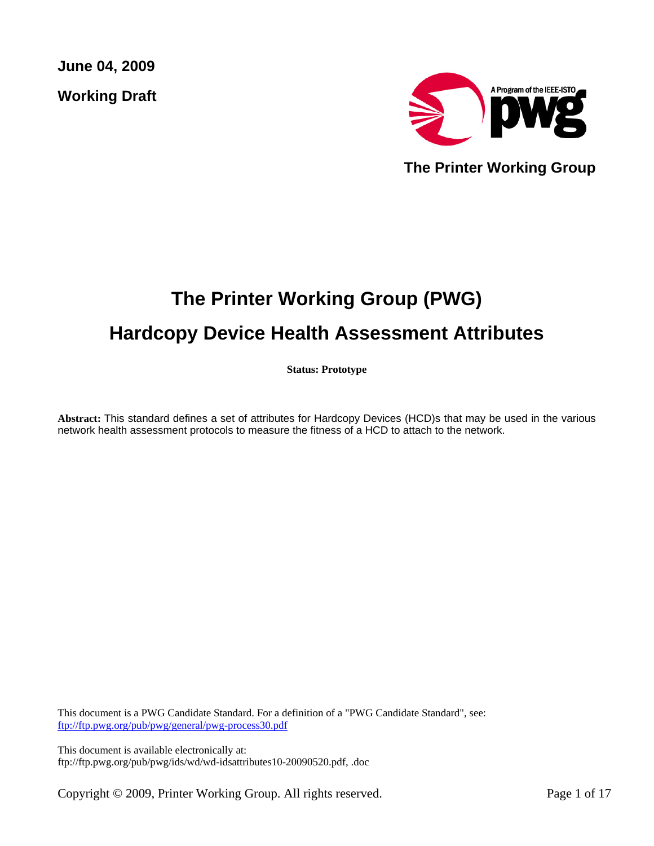**June 04, 2009 Working Draft** 



 **The Printer Working Group** 

# **The Printer Working Group (PWG) Hardcopy Device Health Assessment Attributes**

**Status: Prototype** 

**Abstract:** This standard defines a set of attributes for Hardcopy Devices (HCD)s that may be used in the various network health assessment protocols to measure the fitness of a HCD to attach to the network.

This document is a PWG Candidate Standard. For a definition of a "PWG Candidate Standard", see: ftp://ftp.pwg.org/pub/pwg/general/pwg-process30.pdf

This document is available electronically at: ftp://ftp.pwg.org/pub/pwg/ids/wd/wd-idsattributes10-20090520.pdf, .doc

Copyright © 2009, Printer Working Group. All rights reserved. Page 1 of 17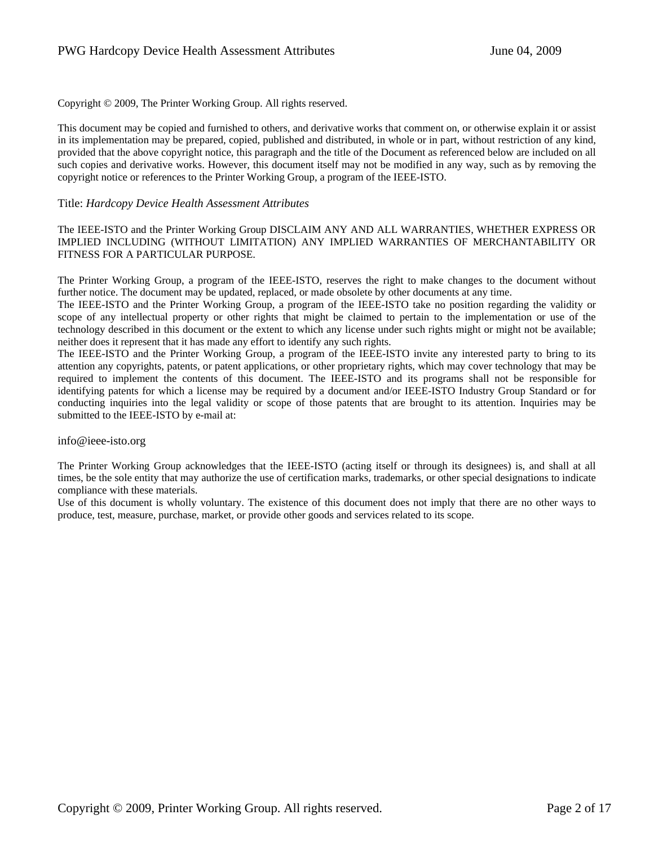Copyright © 2009, The Printer Working Group. All rights reserved.

This document may be copied and furnished to others, and derivative works that comment on, or otherwise explain it or assist in its implementation may be prepared, copied, published and distributed, in whole or in part, without restriction of any kind, provided that the above copyright notice, this paragraph and the title of the Document as referenced below are included on all such copies and derivative works. However, this document itself may not be modified in any way, such as by removing the copyright notice or references to the Printer Working Group, a program of the IEEE-ISTO.

### Title: *Hardcopy Device Health Assessment Attributes*

The IEEE-ISTO and the Printer Working Group DISCLAIM ANY AND ALL WARRANTIES, WHETHER EXPRESS OR IMPLIED INCLUDING (WITHOUT LIMITATION) ANY IMPLIED WARRANTIES OF MERCHANTABILITY OR FITNESS FOR A PARTICULAR PURPOSE.

The Printer Working Group, a program of the IEEE-ISTO, reserves the right to make changes to the document without further notice. The document may be updated, replaced, or made obsolete by other documents at any time.

The IEEE-ISTO and the Printer Working Group, a program of the IEEE-ISTO take no position regarding the validity or scope of any intellectual property or other rights that might be claimed to pertain to the implementation or use of the technology described in this document or the extent to which any license under such rights might or might not be available; neither does it represent that it has made any effort to identify any such rights.

The IEEE-ISTO and the Printer Working Group, a program of the IEEE-ISTO invite any interested party to bring to its attention any copyrights, patents, or patent applications, or other proprietary rights, which may cover technology that may be required to implement the contents of this document. The IEEE-ISTO and its programs shall not be responsible for identifying patents for which a license may be required by a document and/or IEEE-ISTO Industry Group Standard or for conducting inquiries into the legal validity or scope of those patents that are brought to its attention. Inquiries may be submitted to the IEEE-ISTO by e-mail at:

#### info@ieee-isto.org

The Printer Working Group acknowledges that the IEEE-ISTO (acting itself or through its designees) is, and shall at all times, be the sole entity that may authorize the use of certification marks, trademarks, or other special designations to indicate compliance with these materials.

Use of this document is wholly voluntary. The existence of this document does not imply that there are no other ways to produce, test, measure, purchase, market, or provide other goods and services related to its scope.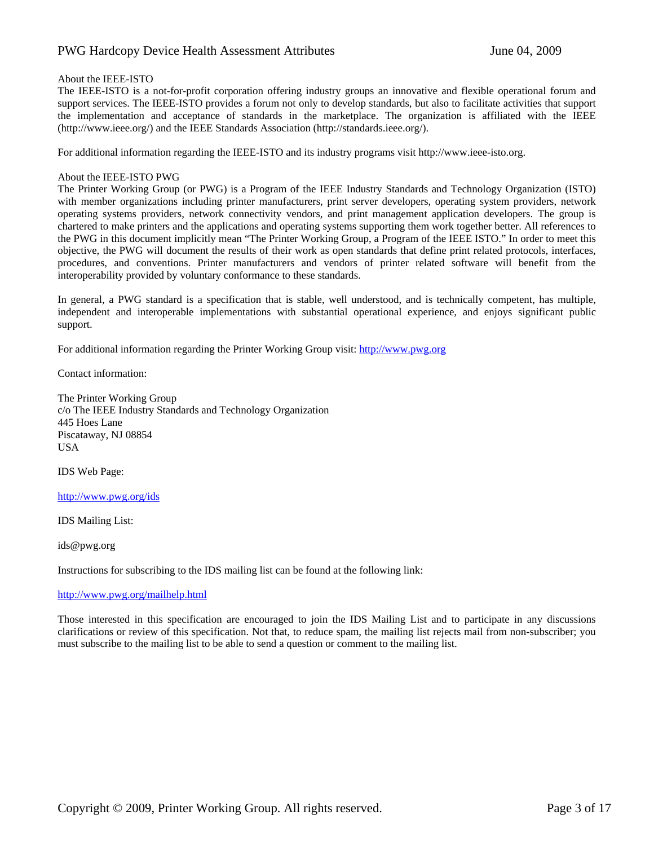### PWG Hardcopy Device Health Assessment AttributesJune 04, 2009

#### About the IEEE-ISTO

The IEEE-ISTO is a not-for-profit corporation offering industry groups an innovative and flexible operational forum and support services. The IEEE-ISTO provides a forum not only to develop standards, but also to facilitate activities that support the implementation and acceptance of standards in the marketplace. The organization is affiliated with the IEEE (http://www.ieee.org/) and the IEEE Standards Association (http://standards.ieee.org/).

For additional information regarding the IEEE-ISTO and its industry programs visit http://www.ieee-isto.org.

#### About the IEEE-ISTO PWG

The Printer Working Group (or PWG) is a Program of the IEEE Industry Standards and Technology Organization (ISTO) with member organizations including printer manufacturers, print server developers, operating system providers, network operating systems providers, network connectivity vendors, and print management application developers. The group is chartered to make printers and the applications and operating systems supporting them work together better. All references to the PWG in this document implicitly mean "The Printer Working Group, a Program of the IEEE ISTO." In order to meet this objective, the PWG will document the results of their work as open standards that define print related protocols, interfaces, procedures, and conventions. Printer manufacturers and vendors of printer related software will benefit from the interoperability provided by voluntary conformance to these standards.

In general, a PWG standard is a specification that is stable, well understood, and is technically competent, has multiple, independent and interoperable implementations with substantial operational experience, and enjoys significant public support.

For additional information regarding the Printer Working Group visit: http://www.pwg.org

Contact information:

The Printer Working Group c/o The IEEE Industry Standards and Technology Organization 445 Hoes Lane Piscataway, NJ 08854 USA

IDS Web Page:

http://www.pwg.org/ids

IDS Mailing List:

ids@pwg.org

Instructions for subscribing to the IDS mailing list can be found at the following link:

#### http://www.pwg.org/mailhelp.html

Those interested in this specification are encouraged to join the IDS Mailing List and to participate in any discussions clarifications or review of this specification. Not that, to reduce spam, the mailing list rejects mail from non-subscriber; you must subscribe to the mailing list to be able to send a question or comment to the mailing list.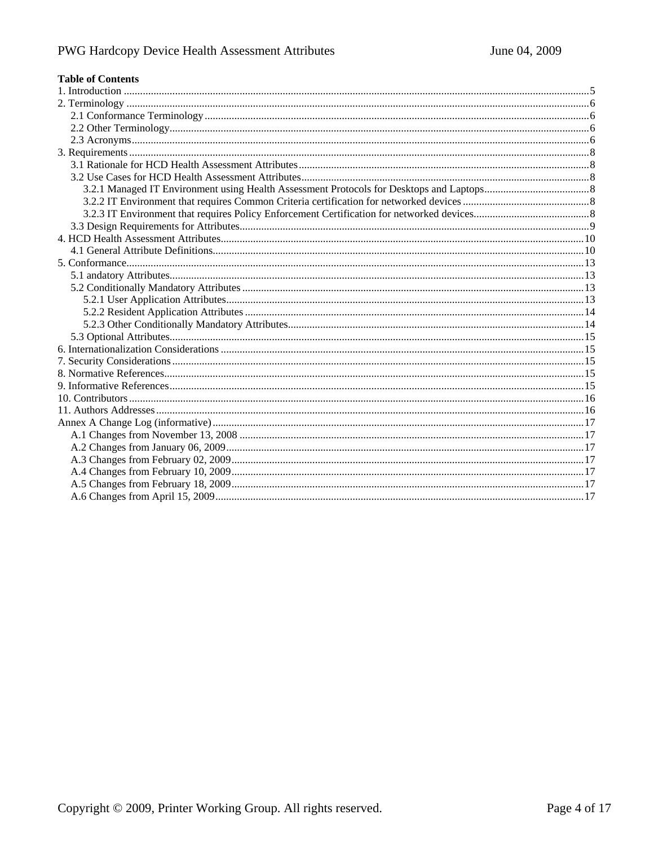# **Table of Contents**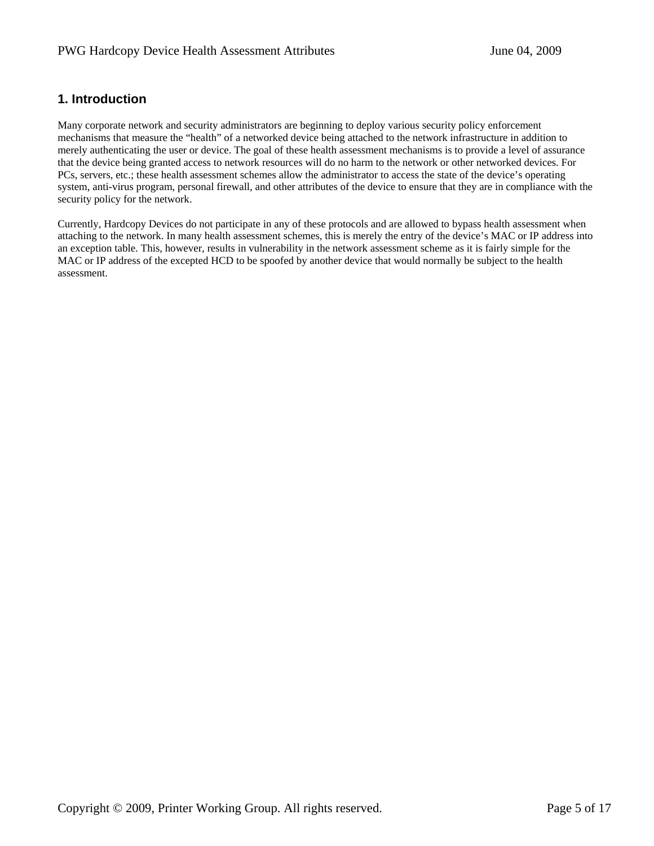# **1. Introduction**

Many corporate network and security administrators are beginning to deploy various security policy enforcement mechanisms that measure the "health" of a networked device being attached to the network infrastructure in addition to merely authenticating the user or device. The goal of these health assessment mechanisms is to provide a level of assurance that the device being granted access to network resources will do no harm to the network or other networked devices. For PCs, servers, etc.; these health assessment schemes allow the administrator to access the state of the device's operating system, anti-virus program, personal firewall, and other attributes of the device to ensure that they are in compliance with the security policy for the network.

Currently, Hardcopy Devices do not participate in any of these protocols and are allowed to bypass health assessment when attaching to the network. In many health assessment schemes, this is merely the entry of the device's MAC or IP address into an exception table. This, however, results in vulnerability in the network assessment scheme as it is fairly simple for the MAC or IP address of the excepted HCD to be spoofed by another device that would normally be subject to the health assessment.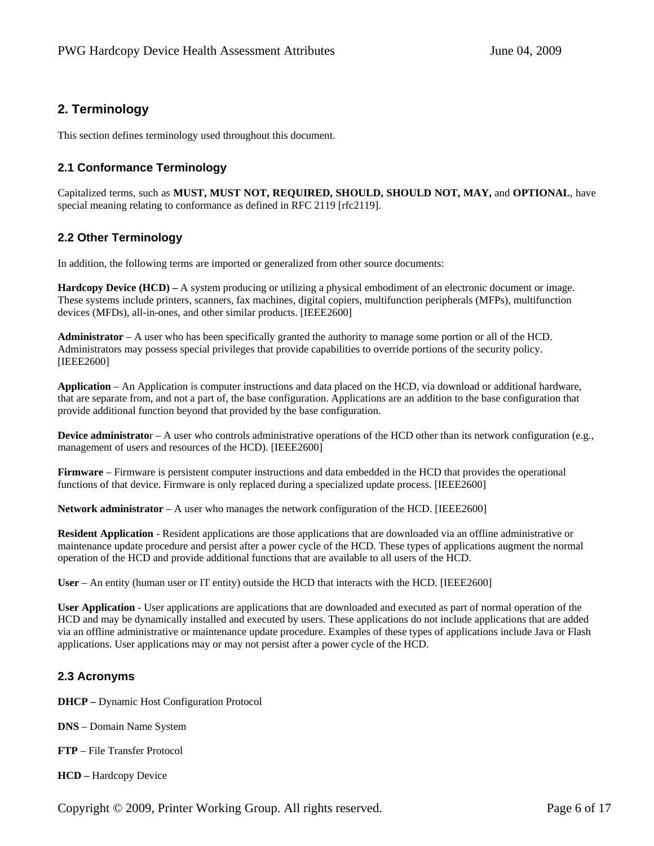# **2. Terminology**

This section defines terminology used throughout this document.

# **2.1 Conformance Terminology**

Capitalized terms, such as **MUST, MUST NOT, REQUIRED, SHOULD, SHOULD NOT, MAY,** and **OPTIONAL**, have special meaning relating to conformance as defined in RFC 2119 [rfc2119].

# **2.2 Other Terminology**

In addition, the following terms are imported or generalized from other source documents:

**Hardcopy Device (HCD) –** A system producing or utilizing a physical embodiment of an electronic document or image. These systems include printers, scanners, fax machines, digital copiers, multifunction peripherals (MFPs), multifunction devices (MFDs), all-in-ones, and other similar products. [IEEE2600]

**Administrator** – A user who has been specifically granted the authority to manage some portion or all of the HCD. Administrators may possess special privileges that provide capabilities to override portions of the security policy. [IEEE2600]

**Application** – An Application is computer instructions and data placed on the HCD, via download or additional hardware, that are separate from, and not a part of, the base configuration. Applications are an addition to the base configuration that provide additional function beyond that provided by the base configuration.

**Device administrator** – A user who controls administrative operations of the HCD other than its network configuration (e.g., management of users and resources of the HCD). [IEEE2600]

**Firmware** – Firmware is persistent computer instructions and data embedded in the HCD that provides the operational functions of that device. Firmware is only replaced during a specialized update process. [IEEE2600]

**Network administrator** – A user who manages the network configuration of the HCD. [IEEE2600]

**Resident Application** - Resident applications are those applications that are downloaded via an offline administrative or maintenance update procedure and persist after a power cycle of the HCD. These types of applications augment the normal operation of the HCD and provide additional functions that are available to all users of the HCD.

**User** – An entity (human user or IT entity) outside the HCD that interacts with the HCD. [IEEE2600]

**User Application** - User applications are applications that are downloaded and executed as part of normal operation of the HCD and may be dynamically installed and executed by users. These applications do not include applications that are added via an offline administrative or maintenance update procedure. Examples of these types of applications include Java or Flash applications. User applications may or may not persist after a power cycle of the HCD.

# **2.3 Acronyms**

**DHCP –** Dynamic Host Configuration Protocol

**DNS** – Domain Name System

**FTP** – File Transfer Protocol

**HCD –** Hardcopy Device

Copyright © 2009, Printer Working Group. All rights reserved. Page 6 of 17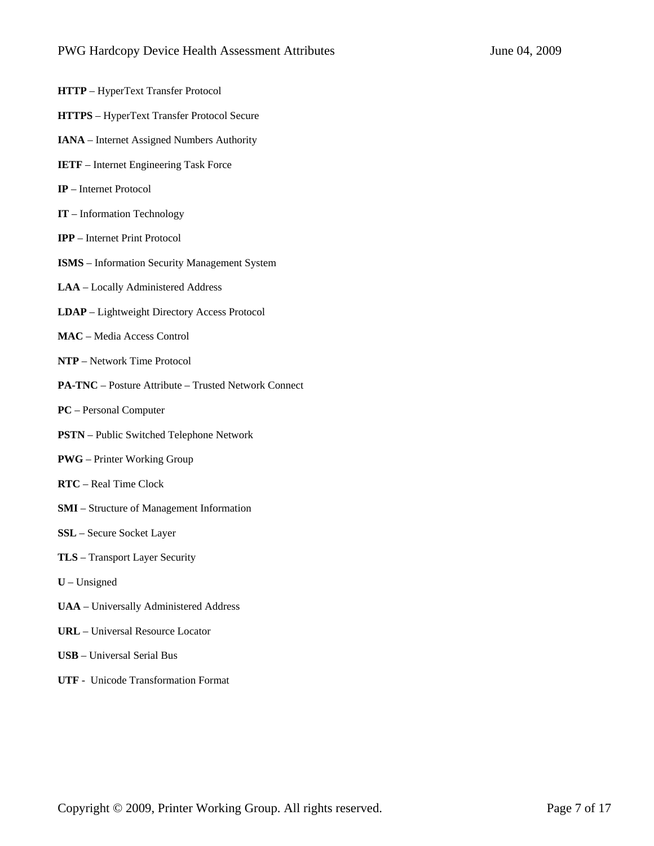- **HTTP** HyperText Transfer Protocol
- **HTTPS** HyperText Transfer Protocol Secure
- **IANA** Internet Assigned Numbers Authority
- **IETF** Internet Engineering Task Force
- **IP** Internet Protocol
- **IT**  Information Technology
- **IPP** Internet Print Protocol
- **ISMS** Information Security Management System
- **LAA** Locally Administered Address
- **LDAP** Lightweight Directory Access Protocol
- **MAC** Media Access Control
- **NTP** Network Time Protocol
- **PA-TNC** Posture Attribute Trusted Network Connect
- **PC** Personal Computer
- **PSTN** Public Switched Telephone Network
- **PWG** Printer Working Group
- **RTC** Real Time Clock
- **SMI** Structure of Management Information
- **SSL** Secure Socket Layer
- **TLS** Transport Layer Security
- **U** Unsigned
- **UAA** Universally Administered Address
- **URL** Universal Resource Locator
- **USB** Universal Serial Bus
- **UTF** Unicode Transformation Format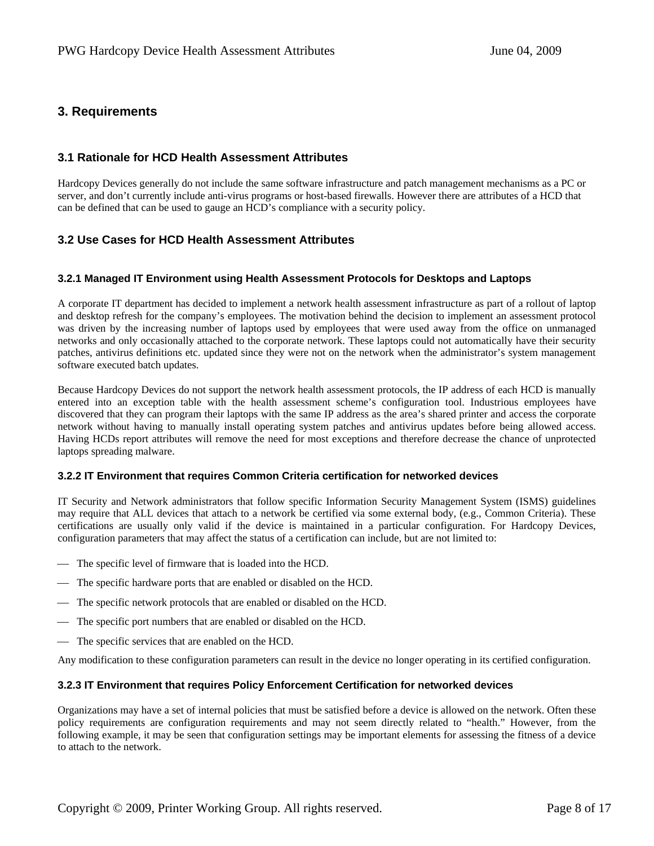# **3. Requirements**

### **3.1 Rationale for HCD Health Assessment Attributes**

Hardcopy Devices generally do not include the same software infrastructure and patch management mechanisms as a PC or server, and don't currently include anti-virus programs or host-based firewalls. However there are attributes of a HCD that can be defined that can be used to gauge an HCD's compliance with a security policy.

# **3.2 Use Cases for HCD Health Assessment Attributes**

#### **3.2.1 Managed IT Environment using Health Assessment Protocols for Desktops and Laptops**

A corporate IT department has decided to implement a network health assessment infrastructure as part of a rollout of laptop and desktop refresh for the company's employees. The motivation behind the decision to implement an assessment protocol was driven by the increasing number of laptops used by employees that were used away from the office on unmanaged networks and only occasionally attached to the corporate network. These laptops could not automatically have their security patches, antivirus definitions etc. updated since they were not on the network when the administrator's system management software executed batch updates.

Because Hardcopy Devices do not support the network health assessment protocols, the IP address of each HCD is manually entered into an exception table with the health assessment scheme's configuration tool. Industrious employees have discovered that they can program their laptops with the same IP address as the area's shared printer and access the corporate network without having to manually install operating system patches and antivirus updates before being allowed access. Having HCDs report attributes will remove the need for most exceptions and therefore decrease the chance of unprotected laptops spreading malware.

#### **3.2.2 IT Environment that requires Common Criteria certification for networked devices**

IT Security and Network administrators that follow specific Information Security Management System (ISMS) guidelines may require that ALL devices that attach to a network be certified via some external body, (e.g., Common Criteria). These certifications are usually only valid if the device is maintained in a particular configuration. For Hardcopy Devices, configuration parameters that may affect the status of a certification can include, but are not limited to:

- The specific level of firmware that is loaded into the HCD.
- The specific hardware ports that are enabled or disabled on the HCD.
- The specific network protocols that are enabled or disabled on the HCD.
- The specific port numbers that are enabled or disabled on the HCD.
- The specific services that are enabled on the HCD.

Any modification to these configuration parameters can result in the device no longer operating in its certified configuration.

#### **3.2.3 IT Environment that requires Policy Enforcement Certification for networked devices**

Organizations may have a set of internal policies that must be satisfied before a device is allowed on the network. Often these policy requirements are configuration requirements and may not seem directly related to "health." However, from the following example, it may be seen that configuration settings may be important elements for assessing the fitness of a device to attach to the network.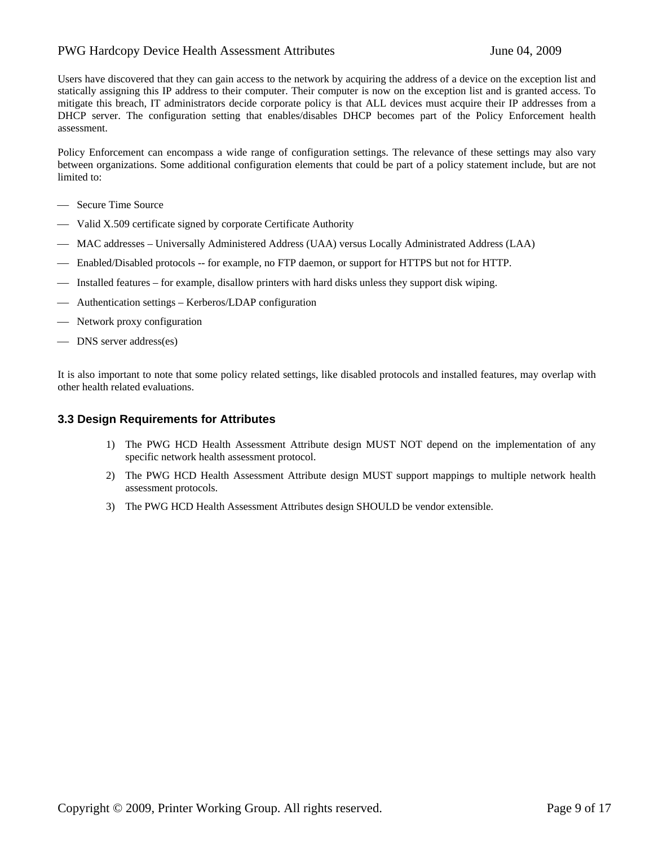### PWG Hardcopy Device Health Assessment AttributesJune 04, 2009

Users have discovered that they can gain access to the network by acquiring the address of a device on the exception list and statically assigning this IP address to their computer. Their computer is now on the exception list and is granted access. To mitigate this breach, IT administrators decide corporate policy is that ALL devices must acquire their IP addresses from a DHCP server. The configuration setting that enables/disables DHCP becomes part of the Policy Enforcement health assessment.

Policy Enforcement can encompass a wide range of configuration settings. The relevance of these settings may also vary between organizations. Some additional configuration elements that could be part of a policy statement include, but are not limited to:

- Secure Time Source
- Valid X.509 certificate signed by corporate Certificate Authority
- ⎯ MAC addresses Universally Administered Address (UAA) versus Locally Administrated Address (LAA)
- ⎯ Enabled/Disabled protocols -- for example, no FTP daemon, or support for HTTPS but not for HTTP.
- ⎯ Installed features for example, disallow printers with hard disks unless they support disk wiping.
- ⎯ Authentication settings Kerberos/LDAP configuration
- Network proxy configuration
- DNS server address(es)

It is also important to note that some policy related settings, like disabled protocols and installed features, may overlap with other health related evaluations.

### **3.3 Design Requirements for Attributes**

- 1) The PWG HCD Health Assessment Attribute design MUST NOT depend on the implementation of any specific network health assessment protocol.
- 2) The PWG HCD Health Assessment Attribute design MUST support mappings to multiple network health assessment protocols.
- 3) The PWG HCD Health Assessment Attributes design SHOULD be vendor extensible.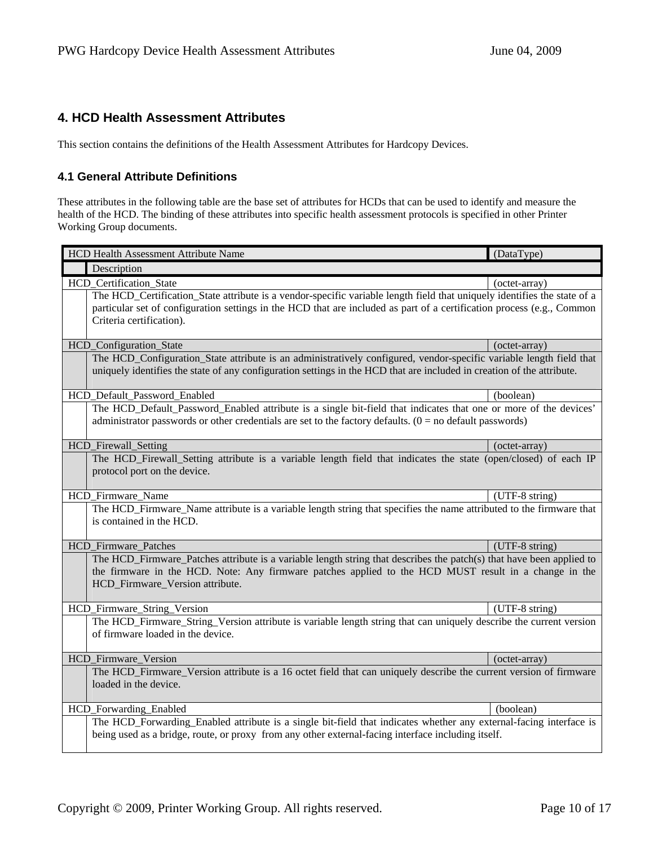# **4. HCD Health Assessment Attributes**

This section contains the definitions of the Health Assessment Attributes for Hardcopy Devices.

### **4.1 General Attribute Definitions**

These attributes in the following table are the base set of attributes for HCDs that can be used to identify and measure the health of the HCD. The binding of these attributes into specific health assessment protocols is specified in other Printer Working Group documents.

| HCD Health Assessment Attribute Name                                                                                                            | (DataType)     |
|-------------------------------------------------------------------------------------------------------------------------------------------------|----------------|
| Description                                                                                                                                     |                |
| HCD_Certification_State                                                                                                                         | (octet-array)  |
| The HCD_Certification_State attribute is a vendor-specific variable length field that uniquely identifies the state of a                        |                |
| particular set of configuration settings in the HCD that are included as part of a certification process (e.g., Common                          |                |
| Criteria certification).                                                                                                                        |                |
| HCD_Configuration_State                                                                                                                         | (octet-array)  |
| The HCD_Configuration_State attribute is an administratively configured, vendor-specific variable length field that                             |                |
| uniquely identifies the state of any configuration settings in the HCD that are included in creation of the attribute.                          |                |
| HCD_Default_Password_Enabled                                                                                                                    | (boolean)      |
| The HCD_Default_Password_Enabled attribute is a single bit-field that indicates that one or more of the devices'                                |                |
| administrator passwords or other credentials are set to the factory defaults. $(0 = no$ default passwords)                                      |                |
|                                                                                                                                                 |                |
| HCD_Firewall_Setting<br>The HCD Firewall Setting attribute is a variable length field that indicates the state (open/closed) of each IP         | (octet-array)  |
| protocol port on the device.                                                                                                                    |                |
|                                                                                                                                                 |                |
| HCD_Firmware_Name                                                                                                                               | (UTF-8 string) |
| The HCD Firmware Name attribute is a variable length string that specifies the name attributed to the firmware that<br>is contained in the HCD. |                |
| <b>HCD</b> Firmware Patches                                                                                                                     | (UTF-8 string) |
| The HCD_Firmware_Patches attribute is a variable length string that describes the patch(s) that have been applied to                            |                |
| the firmware in the HCD. Note: Any firmware patches applied to the HCD MUST result in a change in the                                           |                |
| HCD_Firmware_Version attribute.                                                                                                                 |                |
| HCD_Firmware_String_Version                                                                                                                     | (UTF-8 string) |
| The HCD_Firmware_String_Version attribute is variable length string that can uniquely describe the current version                              |                |
| of firmware loaded in the device.                                                                                                               |                |
| HCD_Firmware_Version                                                                                                                            | (octet-array)  |
| The HCD_Firmware_Version attribute is a 16 octet field that can uniquely describe the current version of firmware                               |                |
| loaded in the device.                                                                                                                           |                |
| HCD_Forwarding_Enabled                                                                                                                          | (boolean)      |
| The HCD_Forwarding_Enabled attribute is a single bit-field that indicates whether any external-facing interface is                              |                |
| being used as a bridge, route, or proxy from any other external-facing interface including itself.                                              |                |
|                                                                                                                                                 |                |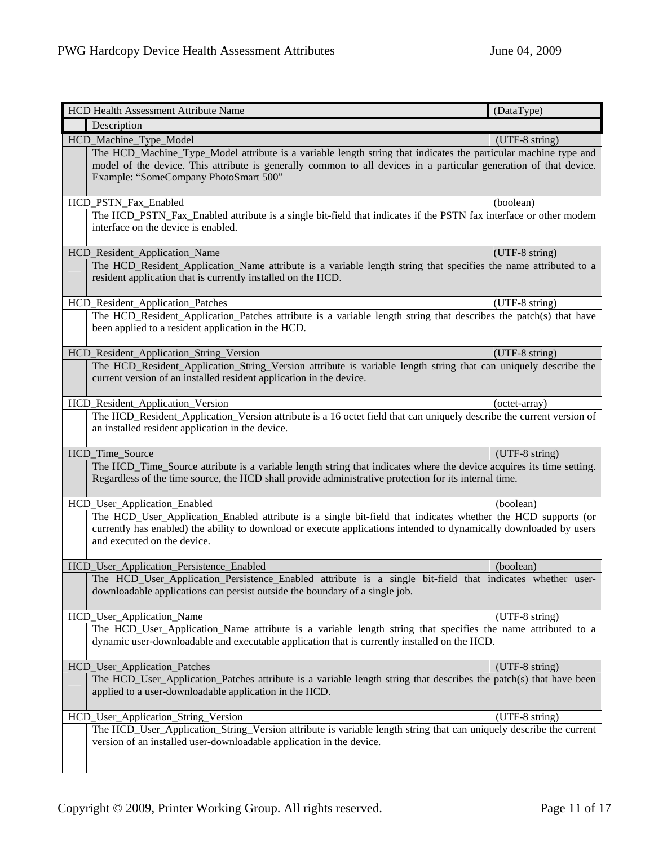| HCD Health Assessment Attribute Name                                                                                                                                                                                                                                          | (DataType)     |
|-------------------------------------------------------------------------------------------------------------------------------------------------------------------------------------------------------------------------------------------------------------------------------|----------------|
| Description                                                                                                                                                                                                                                                                   |                |
| HCD_Machine_Type_Model                                                                                                                                                                                                                                                        | (UTF-8 string) |
| The HCD_Machine_Type_Model attribute is a variable length string that indicates the particular machine type and<br>model of the device. This attribute is generally common to all devices in a particular generation of that device.<br>Example: "SomeCompany PhotoSmart 500" |                |
| HCD_PSTN_Fax_Enabled                                                                                                                                                                                                                                                          | (boolean)      |
| The HCD_PSTN_Fax_Enabled attribute is a single bit-field that indicates if the PSTN fax interface or other modem<br>interface on the device is enabled.                                                                                                                       |                |
| HCD_Resident_Application_Name                                                                                                                                                                                                                                                 | (UTF-8 string) |
| The HCD_Resident_Application_Name attribute is a variable length string that specifies the name attributed to a<br>resident application that is currently installed on the HCD.                                                                                               |                |
| HCD_Resident_Application_Patches                                                                                                                                                                                                                                              | (UTF-8 string) |
| The HCD_Resident_Application_Patches attribute is a variable length string that describes the patch(s) that have<br>been applied to a resident application in the HCD.                                                                                                        |                |
| HCD_Resident_Application_String_Version                                                                                                                                                                                                                                       | (UTF-8 string) |
| The HCD_Resident_Application_String_Version attribute is variable length string that can uniquely describe the<br>current version of an installed resident application in the device.                                                                                         |                |
| HCD_Resident_Application_Version                                                                                                                                                                                                                                              | (octet-array)  |
| The HCD_Resident_Application_Version attribute is a 16 octet field that can uniquely describe the current version of<br>an installed resident application in the device.                                                                                                      |                |
| HCD_Time_Source                                                                                                                                                                                                                                                               | (UTF-8 string) |
| The HCD_Time_Source attribute is a variable length string that indicates where the device acquires its time setting.<br>Regardless of the time source, the HCD shall provide administrative protection for its internal time.                                                 |                |
| HCD_User_Application_Enabled                                                                                                                                                                                                                                                  | (boolean)      |
| The HCD_User_Application_Enabled attribute is a single bit-field that indicates whether the HCD supports (or<br>currently has enabled) the ability to download or execute applications intended to dynamically downloaded by users<br>and executed on the device.             |                |
| HCD_User_Application_Persistence_Enabled                                                                                                                                                                                                                                      | (boolean)      |
| The HCD_User_Application_Persistence_Enabled attribute is a single bit-field that indicates whether user-<br>downloadable applications can persist outside the boundary of a single job.                                                                                      |                |
| HCD_User_Application_Name                                                                                                                                                                                                                                                     | (UTF-8 string) |
| The HCD_User_Application_Name attribute is a variable length string that specifies the name attributed to a<br>dynamic user-downloadable and executable application that is currently installed on the HCD.                                                                   |                |
| HCD_User_Application_Patches                                                                                                                                                                                                                                                  | (UTF-8 string) |
| The HCD_User_Application_Patches attribute is a variable length string that describes the patch(s) that have been<br>applied to a user-downloadable application in the HCD.                                                                                                   |                |
| HCD_User_Application_String_Version                                                                                                                                                                                                                                           | (UTF-8 string) |
| The HCD_User_Application_String_Version attribute is variable length string that can uniquely describe the current<br>version of an installed user-downloadable application in the device.                                                                                    |                |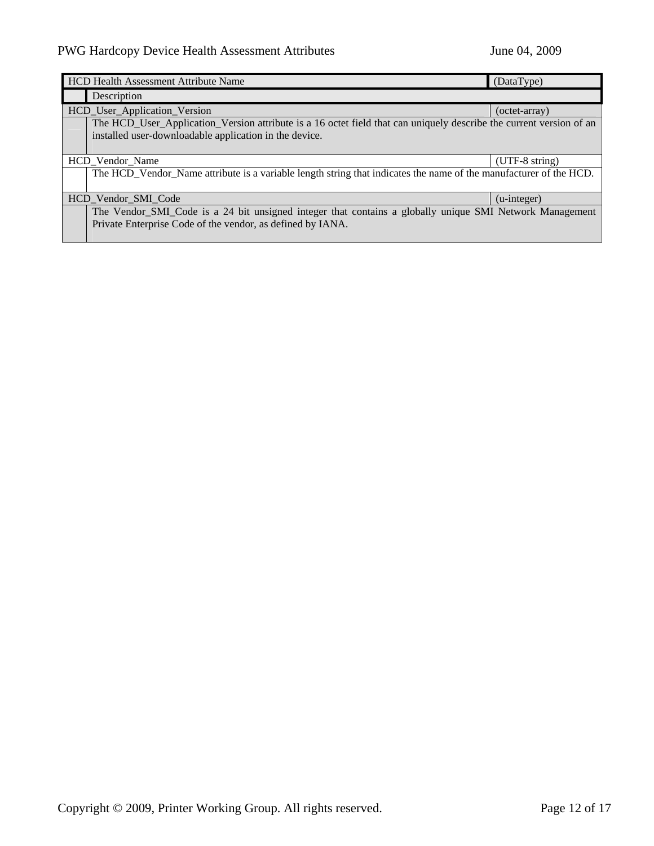| HCD Health Assessment Attribute Name<br>(DataType) |                                                                                                                     |                      |
|----------------------------------------------------|---------------------------------------------------------------------------------------------------------------------|----------------------|
|                                                    | Description                                                                                                         |                      |
|                                                    | HCD_User_Application_Version                                                                                        | (octet-array)        |
|                                                    | The HCD_User_Application_Version attribute is a 16 octet field that can uniquely describe the current version of an |                      |
|                                                    | installed user-downloadable application in the device.                                                              |                      |
|                                                    |                                                                                                                     |                      |
|                                                    | HCD Vendor Name                                                                                                     | $(UTF-8 string)$     |
|                                                    | The HCD_Vendor_Name attribute is a variable length string that indicates the name of the manufacturer of the HCD.   |                      |
|                                                    |                                                                                                                     |                      |
|                                                    | HCD Vendor SMI Code                                                                                                 | $(u\text{-integer})$ |
|                                                    | The Vendor_SMI_Code is a 24 bit unsigned integer that contains a globally unique SMI Network Management             |                      |
|                                                    | Private Enterprise Code of the vendor, as defined by IANA.                                                          |                      |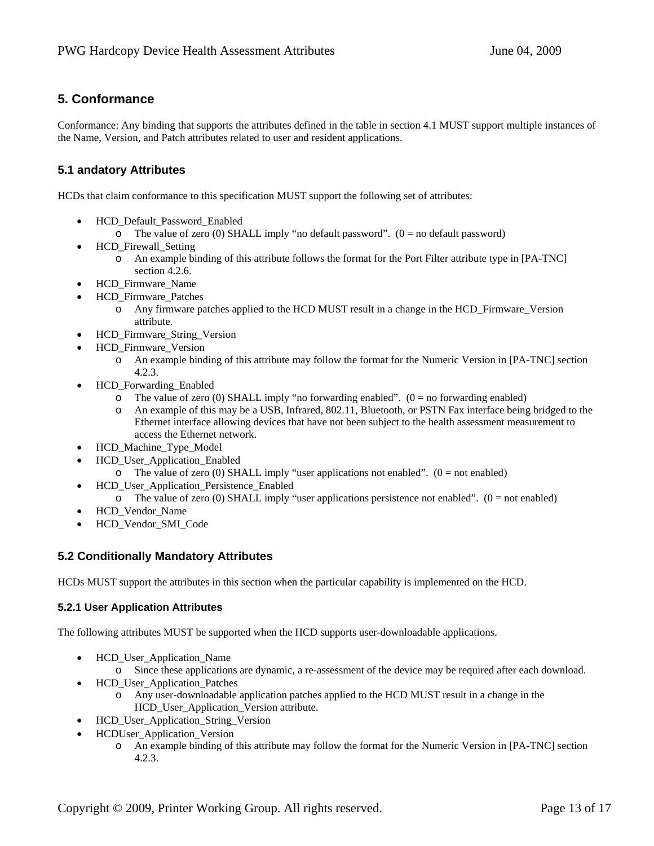# **5. Conformance**

Conformance: Any binding that supports the attributes defined in the table in section 4.1 MUST support multiple instances of the Name, Version, and Patch attributes related to user and resident applications.

# **5.1 andatory Attributes**

HCDs that claim conformance to this specification MUST support the following set of attributes:

- HCD\_Default\_Password\_Enabled
	- o The value of zero (0) SHALL imply "no default password".  $(0 = no$  default password)
- HCD\_Firewall\_Setting
	- o An example binding of this attribute follows the format for the Port Filter attribute type in [PA-TNC] section 4.2.6.
- HCD\_Firmware\_Name
- HCD\_Firmware\_Patches
	- o Any firmware patches applied to the HCD MUST result in a change in the HCD\_Firmware\_Version attribute.
- HCD\_Firmware\_String\_Version
- HCD\_Firmware\_Version
	- o An example binding of this attribute may follow the format for the Numeric Version in [PA-TNC] section 4.2.3.
- HCD\_Forwarding\_Enabled
	- $\circ$  The value of zero (0) SHALL imply "no forwarding enabled". (0 = no forwarding enabled)
	- o An example of this may be a USB, Infrared, 802.11, Bluetooth, or PSTN Fax interface being bridged to the Ethernet interface allowing devices that have not been subject to the health assessment measurement to access the Ethernet network.
- HCD Machine Type Model
- HCD\_User\_Application\_Enabled
	- $\circ$  The value of zero (0) SHALL imply "user applications not enabled". (0 = not enabled)
- HCD\_User\_Application\_Persistence\_Enabled
	- $\circ$  The value of zero (0) SHALL imply "user applications persistence not enabled". (0 = not enabled)
- HCD\_Vendor\_Name
- HCD\_Vendor\_SMI\_Code

### **5.2 Conditionally Mandatory Attributes**

HCDs MUST support the attributes in this section when the particular capability is implemented on the HCD.

### **5.2.1 User Application Attributes**

The following attributes MUST be supported when the HCD supports user-downloadable applications.

- HCD\_User\_Application\_Name
	- o Since these applications are dynamic, a re-assessment of the device may be required after each download.
- HCD\_User\_Application\_Patches
	- o Any user-downloadable application patches applied to the HCD MUST result in a change in the HCD\_User\_Application\_Version attribute.
- HCD\_User\_Application\_String\_Version
- HCDUser\_Application\_Version
	- o An example binding of this attribute may follow the format for the Numeric Version in [PA-TNC] section 4.2.3.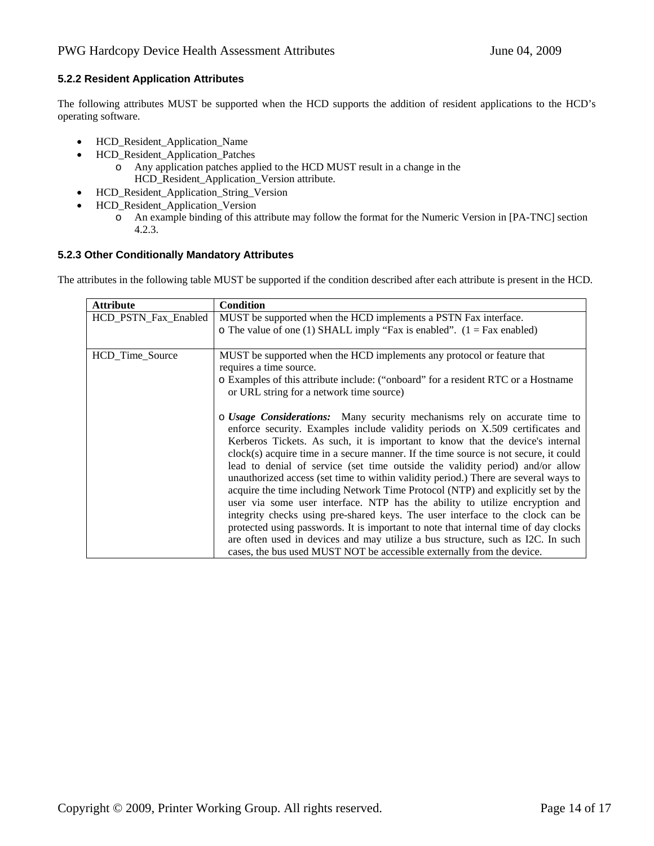### **5.2.2 Resident Application Attributes**

The following attributes MUST be supported when the HCD supports the addition of resident applications to the HCD's operating software.

- HCD\_Resident\_Application\_Name
- HCD\_Resident\_Application\_Patches
	- o Any application patches applied to the HCD MUST result in a change in the HCD\_Resident\_Application\_Version attribute.
- HCD\_Resident\_Application\_String\_Version
- HCD\_Resident\_Application\_Version
	- o An example binding of this attribute may follow the format for the Numeric Version in [PA-TNC] section 4.2.3.

### **5.2.3 Other Conditionally Mandatory Attributes**

The attributes in the following table MUST be supported if the condition described after each attribute is present in the HCD.

| <b>Attribute</b>     | Condition                                                                            |
|----------------------|--------------------------------------------------------------------------------------|
| HCD_PSTN_Fax_Enabled | MUST be supported when the HCD implements a PSTN Fax interface.                      |
|                      | o The value of one (1) SHALL imply "Fax is enabled". $(1 = Fax$ enabled)             |
|                      |                                                                                      |
| HCD_Time_Source      | MUST be supported when the HCD implements any protocol or feature that               |
|                      | requires a time source.                                                              |
|                      | o Examples of this attribute include: ("onboard" for a resident RTC or a Hostname    |
|                      | or URL string for a network time source)                                             |
|                      |                                                                                      |
|                      | $\circ$ Usage Considerations: Many security mechanisms rely on accurate time to      |
|                      | enforce security. Examples include validity periods on X.509 certificates and        |
|                      | Kerberos Tickets. As such, it is important to know that the device's internal        |
|                      | clock(s) acquire time in a secure manner. If the time source is not secure, it could |
|                      | lead to denial of service (set time outside the validity period) and/or allow        |
|                      | unauthorized access (set time to within validity period.) There are several ways to  |
|                      | acquire the time including Network Time Protocol (NTP) and explicitly set by the     |
|                      | user via some user interface. NTP has the ability to utilize encryption and          |
|                      | integrity checks using pre-shared keys. The user interface to the clock can be       |
|                      | protected using passwords. It is important to note that internal time of day clocks  |
|                      | are often used in devices and may utilize a bus structure, such as I2C. In such      |
|                      | cases, the bus used MUST NOT be accessible externally from the device.               |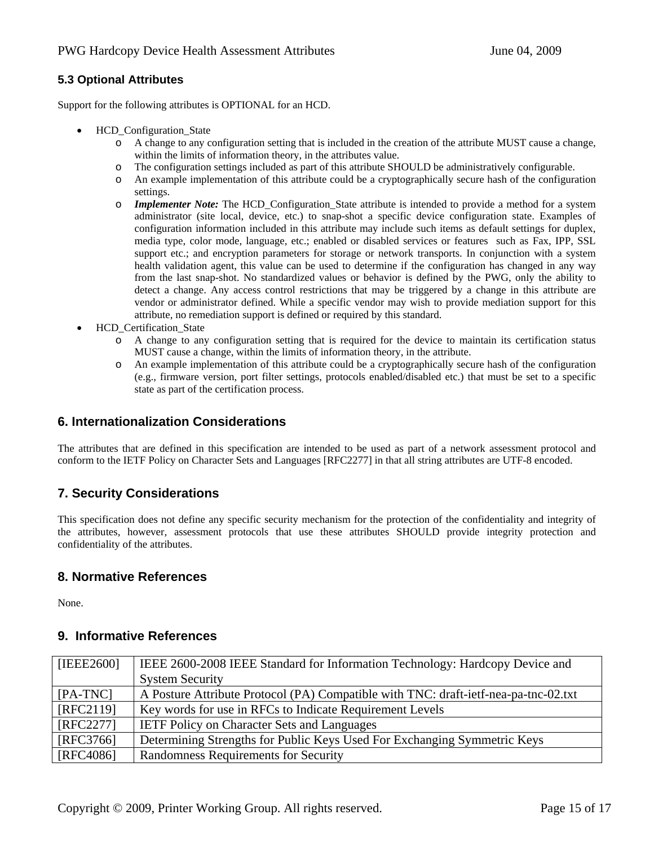# **5.3 Optional Attributes**

Support for the following attributes is OPTIONAL for an HCD.

- **HCD** Configuration State
	- o A change to any configuration setting that is included in the creation of the attribute MUST cause a change, within the limits of information theory, in the attributes value.
	- o The configuration settings included as part of this attribute SHOULD be administratively configurable.
	- o An example implementation of this attribute could be a cryptographically secure hash of the configuration settings.
	- o *Implementer Note:* The HCD\_Configuration\_State attribute is intended to provide a method for a system administrator (site local, device, etc.) to snap-shot a specific device configuration state. Examples of configuration information included in this attribute may include such items as default settings for duplex, media type, color mode, language, etc.; enabled or disabled services or features such as Fax, IPP, SSL support etc.; and encryption parameters for storage or network transports. In conjunction with a system health validation agent, this value can be used to determine if the configuration has changed in any way from the last snap-shot. No standardized values or behavior is defined by the PWG, only the ability to detect a change. Any access control restrictions that may be triggered by a change in this attribute are vendor or administrator defined. While a specific vendor may wish to provide mediation support for this attribute, no remediation support is defined or required by this standard.
- HCD\_Certification\_State
	- o A change to any configuration setting that is required for the device to maintain its certification status MUST cause a change, within the limits of information theory, in the attribute.
	- o An example implementation of this attribute could be a cryptographically secure hash of the configuration (e.g., firmware version, port filter settings, protocols enabled/disabled etc.) that must be set to a specific state as part of the certification process.

# **6. Internationalization Considerations**

The attributes that are defined in this specification are intended to be used as part of a network assessment protocol and conform to the IETF Policy on Character Sets and Languages [RFC2277] in that all string attributes are UTF-8 encoded.

# **7. Security Considerations**

This specification does not define any specific security mechanism for the protection of the confidentiality and integrity of the attributes, however, assessment protocols that use these attributes SHOULD provide integrity protection and confidentiality of the attributes.

# **8. Normative References**

None.

# **9. Informative References**

| [IEEE2600]        | IEEE 2600-2008 IEEE Standard for Information Technology: Hardcopy Device and        |
|-------------------|-------------------------------------------------------------------------------------|
|                   | <b>System Security</b>                                                              |
| $[PA-TNC]$        | A Posture Attribute Protocol (PA) Compatible with TNC: draft-ietf-nea-pa-tnc-02.txt |
| [RFC2119]         | Key words for use in RFCs to Indicate Requirement Levels                            |
| [RFC2277]         | <b>IETF Policy on Character Sets and Languages</b>                                  |
| [RFC3766]         | Determining Strengths for Public Keys Used For Exchanging Symmetric Keys            |
| $\vert$ [RFC4086] | Randomness Requirements for Security                                                |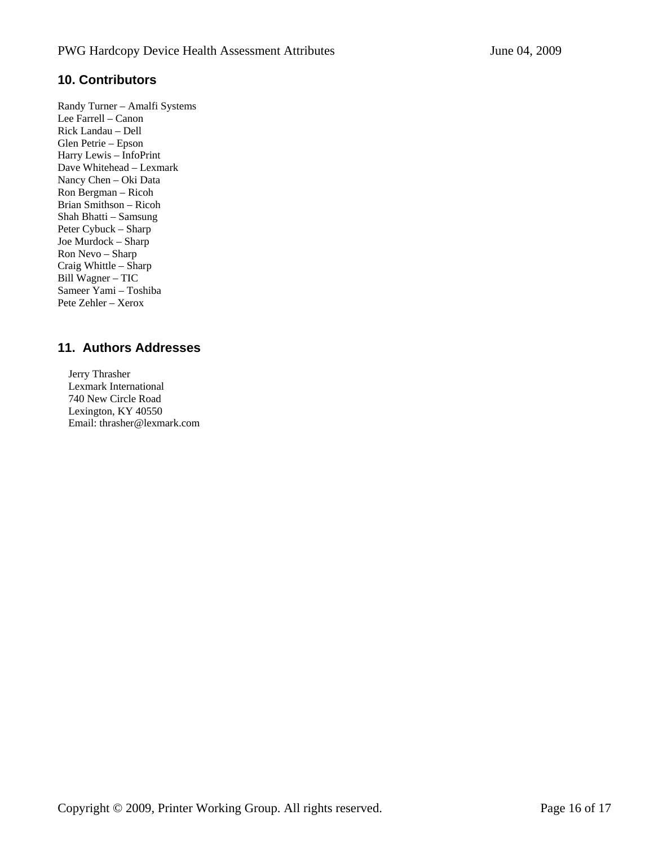# **10. Contributors**

Randy Turner – Amalfi Systems Lee Farrell – Canon Rick Landau – Dell Glen Petrie – Epson Harry Lewis – InfoPrint Dave Whitehead – Lexmark Nancy Chen – Oki Data Ron Bergman – Ricoh Brian Smithson – Ricoh Shah Bhatti – Samsung Peter Cybuck – Sharp Joe Murdock – Sharp Ron Nevo – Sharp Craig Whittle – Sharp Bill Wagner – TIC Sameer Yami – Toshiba Pete Zehler – Xerox

# **11. Authors Addresses**

 Jerry Thrasher Lexmark International 740 New Circle Road Lexington, KY 40550 Email: thrasher@lexmark.com